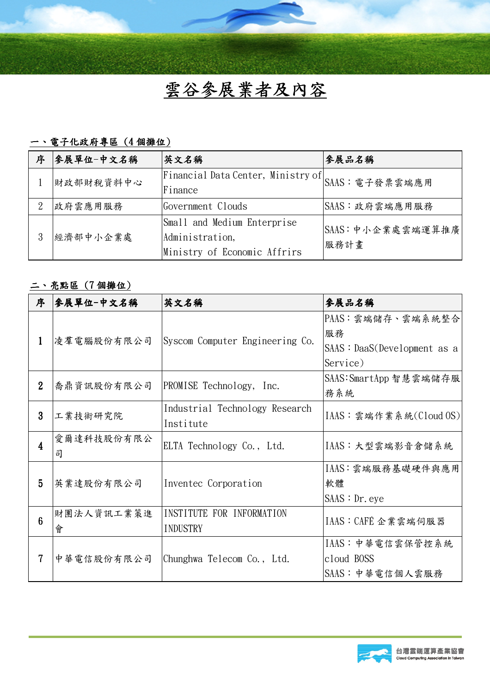

## 一、電子化政府專區(4個攤位)

| 序 | 参展單位-中文名稱 | 英文名稱                                                                           | 參展品名稱                     |
|---|-----------|--------------------------------------------------------------------------------|---------------------------|
|   | 財政部財稅資料中心 | Financial Data Center, Ministry of SAAS: 電子發票雲端應用<br>Finance                   |                           |
| 9 | 政府雲應用服務   | Government Clouds                                                              | SAAS:政府雲端應用服務             |
| 3 | 經濟部中小企業處  | Small and Medium Enterprise<br>Administration,<br>Ministry of Economic Affrirs | SAAS: 中小企業處雲端運算推廣<br>服務計畫 |

## 二、亮點區(7 個攤位)

| 序              | 参展單位-中文名稱       | 英文名稱                                        | 参展品名稱                                                                         |
|----------------|-----------------|---------------------------------------------|-------------------------------------------------------------------------------|
| $\mathbf{1}$   | 凌羣電腦股份有限公司      | Syscom Computer Engineering Co.             | PAAS:雲端儲存、雲端系統整合<br>服務<br>$S\text{AAS}: \text{Daas}(\text{Development as a})$ |
|                |                 |                                             | Service)                                                                      |
| $\overline{2}$ | 喬鼎資訊股份有限公司      | PROMISE Technology, Inc.                    | SAAS: SmartApp 智慧雲端儲存服<br>務系統                                                 |
| 3              | 工業技術研究院         | Industrial Technology Research<br>Institute | IAAS: 雲端作業系統(Cloud OS)                                                        |
| 4              | 愛爾達科技股份有限公<br>司 | ELTA Technology Co., Ltd.                   | IAAS:大型雲端影音倉儲系統                                                               |
| 5              | 英業達股份有限公司       | Inventec Corporation                        | IAAS:雲端服務基礎硬件與應用<br>軟體<br>S <sub>AdS</sub> : Dr. eye                          |
| 6              | 財團法人資訊工業策進<br>會 | INSTITUTE FOR INFORMATION<br>INDUSTRY       | IAAS : CAFÉ 企業雲端伺服器                                                           |
|                | 中華電信股份有限公司      | Chunghwa Telecom Co., Ltd.                  | IAAS:中華電信雲保管控系統<br>cloud BOSS<br>SAAS: 中華電信個人雲服務                              |

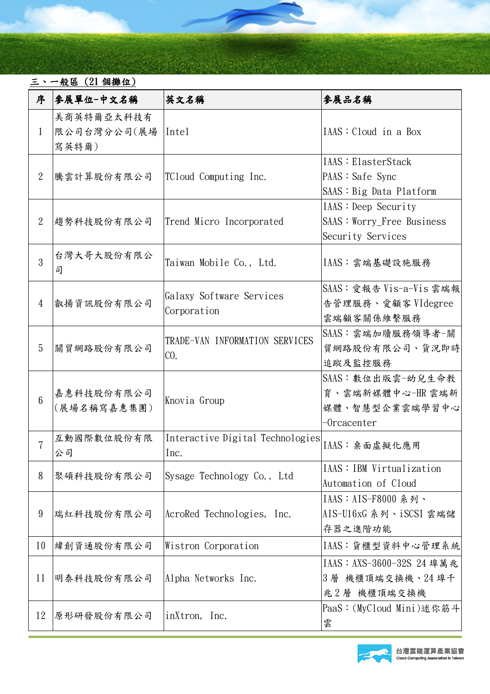## 三、一般區(21 個攤位)

| 序              | 参展單位-中文名稱                          | 英文名稱                                     | 參展品名稱                                                                    |
|----------------|------------------------------------|------------------------------------------|--------------------------------------------------------------------------|
| $\mathbf{1}$   | 美商英特爾亞太科技有<br>限公司台灣分公司(展場<br>寫英特爾) | <i>Intel</i>                             | IAS: Cloud in a Box                                                      |
| $\overline{2}$ | 騰雲計算股份有限公司                         | TCloud Computing Inc.                    | IAAS: ElasterStack<br>PAAS : Safe Sync<br>SAS : Big Data Platform        |
| $\overline{2}$ | 趨勢科技股份有限公司                         | Trend Micro Incorporated                 | IAAS: Deep Security<br>SAAS: Worry_Free Business<br>Security Services    |
| 3              | 台灣大哥大股份有限公<br>司                    | Taiwan Mobile Co., Ltd.                  | IAAS:雲端基礎設施服務                                                            |
| 4              | 叡揚資訊股份有限公司                         | Galaxy Software Services<br>Corporation  | SAAS: 愛報告 Vis-a-Vis 雲端報<br>告管理服務、愛顧客 VIdegree<br>雲端顧客關係維繫服務              |
| 5              | 關貿網路股份有限公司                         | TRADE-VAN INFORMATION SERVICES<br>CO.    | SAAS:雲端加牘服務領導者-關<br>貿網路股份有限公司、貨況即時<br>追蹤及監控服務                            |
| $\overline{6}$ | 嘉惠科技股份有限公司<br>(展場名稱寫嘉惠集團)          | Knovia Group                             | SAAS: 數位出版雲-幼兒生命教<br>育、雲端新媒體中心-HR雲端新<br>媒體、智慧型企業雲端學習中心<br>$-0$ rcacenter |
| $\overline{7}$ | 互動國際數位股份有限<br>公司                   | Interactive Digital Technologies<br>Inc. | IAAS: 桌面虛擬化應用                                                            |
| 8              | 聚碩科技股份有限公司                         | Sysage Technology Co., Ltd               | IAAS: IBM Virtualization<br>Automation of Cloud                          |
| 9              | 瑞紅科技股份有限公司                         | AcroRed Technologies, Inc.               | IAAS: AIS-F8000 系列、<br>AIS-U16xG 系列、iSCSI 雲端儲<br>存器之進階功能                 |
| 10             | 緯創資通股份有限公司                         | Wistron Corporation                      | IAAS:貨櫃型資料中心管理系統                                                         |
| 11             | 明泰科技股份有限公司                         | Alpha Networks Inc.                      | IAAS: AXS-3600-32S 24 埠萬兆<br>機櫃頂端交換機、24 埠千<br>3 層<br>兆2層 機櫃頂端交換機         |
| 12             | 原形研發股份有限公司                         | inXtron, Inc.                            | PaaS: (MyCloud Mini) 迷你筋斗<br>雲                                           |